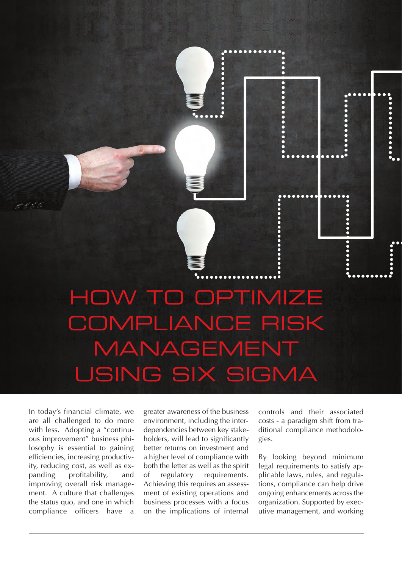

In today's financial climate, we are all challenged to do more with less. Adopting a "continuous improvement" business philosophy is essential to gaining efficiencies, increasing productivity, reducing cost, as well as expanding profitability, and improving overall risk management. A culture that challenges the status quo, and one in which compliance officers have a

 $2222$ 

greater awareness of the business environment, including the interdependencies between key stakeholders, will lead to significantly better returns on investment and a higher level of compliance with both the letter as well as the spirit of regulatory requirements. Achieving this requires an assessment of existing operations and business processes with a focus on the implications of internal

controls and their associated costs - a paradigm shift from traditional compliance methodologies.

å

.........

............

............

.......

......

....

.....

By looking beyond minimum legal requirements to satisfy applicable laws, rules, and regulations, compliance can help drive ongoing enhancements across the organization. Supported by executive management, and working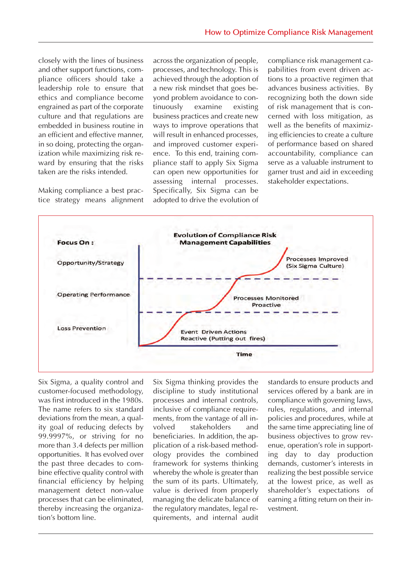closely with the lines of business and other support functions, compliance officers should take a leadership role to ensure that ethics and compliance become engrained as part of the corporate culture and that regulations are embedded in business routine in an efficient and effective manner, in so doing, protecting the organization while maximizing risk reward by ensuring that the risks taken are the risks intended.

Making compliance a best practice strategy means alignment across the organization of people, processes, and technology. This is achieved through the adoption of a new risk mindset that goes beyond problem avoidance to continuously examine existing business practices and create new ways to improve operations that will result in enhanced processes, and improved customer experience. To this end, training compliance staff to apply Six Sigma can open new opportunities for assessing internal processes. Specifically, Six Sigma can be adopted to drive the evolution of compliance risk management capabilities from event driven actions to a proactive regimen that advances business activities. By recognizing both the down side of risk management that is concerned with loss mitigation, as well as the benefits of maximizing efficiencies to create a culture of performance based on shared accountability, compliance can serve as a valuable instrument to garner trust and aid in exceeding stakeholder expectations.



Six Sigma, a quality control and customer-focused methodology, was first introduced in the 1980s. The name refers to six standard deviations from the mean, a quality goal of reducing defects by 99.9997%, or striving for no more than 3.4 defects per million opportunities. It has evolved over the past three decades to combine effective quality control with financial efficiency by helping management detect non-value processes that can be eliminated, thereby increasing the organization's bottom line.

Six Sigma thinking provides the discipline to study institutional processes and internal controls, inclusive of compliance requirements, from the vantage of all involved stakeholders and beneficiaries. In addition, the application of a risk-based methodology provides the combined framework for systems thinking whereby the whole is greater than the sum of its parts. Ultimately, value is derived from properly managing the delicate balance of the regulatory mandates, legal requirements, and internal audit standards to ensure products and services offered by a bank are in compliance with governing laws, rules, regulations, and internal policies and procedures, while at the same time appreciating line of business objectives to grow revenue, operation's role in supporting day to day production demands, customer's interests in realizing the best possible service at the lowest price, as well as shareholder's expectations of earning a fitting return on their investment.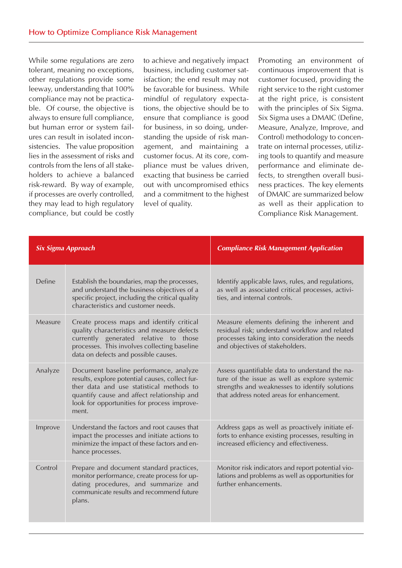While some regulations are zero tolerant, meaning no exceptions, other regulations provide some leeway, understanding that 100% compliance may not be practicable. Of course, the objective is always to ensure full compliance, but human error or system failures can result in isolated inconsistencies. The value proposition lies in the assessment of risks and controls from the lens of all stakeholders to achieve a balanced risk-reward. By way of example, if processes are overly controlled, they may lead to high regulatory compliance, but could be costly to achieve and negatively impact business, including customer satisfaction; the end result may not be favorable for business. While mindful of regulatory expectations, the objective should be to ensure that compliance is good for business, in so doing, understanding the upside of risk management, and maintaining a customer focus. At its core, compliance must be values driven, exacting that business be carried out with uncompromised ethics and a commitment to the highest level of quality.

Promoting an environment of continuous improvement that is customer focused, providing the right service to the right customer at the right price, is consistent with the principles of Six Sigma. Six Sigma uses a DMAIC (Define, Measure, Analyze, Improve, and Control) methodology to concentrate on internal processes, utilizing tools to quantify and measure performance and eliminate defects, to strengthen overall business practices. The key elements of DMAIC are summarized below as well as their application to Compliance Risk Management.

| <b>Six Sigma Approach</b> |                                                                                                                                                                                                                                             | <b>Compliance Risk Management Application</b>                                                                                                                                                  |
|---------------------------|---------------------------------------------------------------------------------------------------------------------------------------------------------------------------------------------------------------------------------------------|------------------------------------------------------------------------------------------------------------------------------------------------------------------------------------------------|
| Define                    | Establish the boundaries, map the processes,<br>and understand the business objectives of a<br>specific project, including the critical quality<br>characteristics and customer needs.                                                      | Identify applicable laws, rules, and regulations,<br>as well as associated critical processes, activi-<br>ties, and internal controls.                                                         |
| Measure                   | Create process maps and identify critical<br>quality characteristics and measure defects<br>currently generated relative to those<br>processes. This involves collecting baseline<br>data on defects and possible causes.                   | Measure elements defining the inherent and<br>residual risk; understand workflow and related<br>processes taking into consideration the needs<br>and objectives of stakeholders.               |
| Analyze                   | Document baseline performance, analyze<br>results, explore potential causes, collect fur-<br>ther data and use statistical methods to<br>quantify cause and affect relationship and<br>look for opportunities for process improve-<br>ment. | Assess quantifiable data to understand the na-<br>ture of the issue as well as explore systemic<br>strengths and weaknesses to identify solutions<br>that address noted areas for enhancement. |
| Improve                   | Understand the factors and root causes that<br>impact the processes and initiate actions to<br>minimize the impact of these factors and en-<br>hance processes.                                                                             | Address gaps as well as proactively initiate ef-<br>forts to enhance existing processes, resulting in<br>increased efficiency and effectiveness.                                               |
| Control                   | Prepare and document standard practices,<br>monitor performance, create process for up-<br>dating procedures, and summarize and<br>communicate results and recommend future<br>plans.                                                       | Monitor risk indicators and report potential vio-<br>lations and problems as well as opportunities for<br>further enhancements.                                                                |